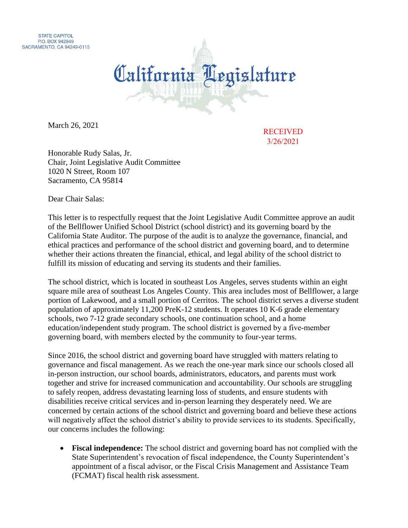



March 26, 2021

RECEIVED 3/26/2021

Honorable Rudy Salas, Jr. Chair, Joint Legislative Audit Committee 1020 N Street, Room 107 Sacramento, CA 95814

Dear Chair Salas:

This letter is to respectfully request that the Joint Legislative Audit Committee approve an audit of the Bellflower Unified School District (school district) and its governing board by the California State Auditor. The purpose of the audit is to analyze the governance, financial, and ethical practices and performance of the school district and governing board, and to determine whether their actions threaten the financial, ethical, and legal ability of the school district to fulfill its mission of educating and serving its students and their families.

The school district, which is located in southeast Los Angeles, serves students within an eight square mile area of southeast Los Angeles County. This area includes most of Bellflower, a large portion of Lakewood, and a small portion of Cerritos. The school district serves a diverse student population of approximately 11,200 PreK-12 students. It operates 10 K-6 grade elementary schools, two 7-12 grade secondary schools, one continuation school, and a home education/independent study program. The school district is governed by a five-member governing board, with members elected by the community to four‑year terms.

Since 2016, the school district and governing board have struggled with matters relating to governance and fiscal management. As we reach the one-year mark since our schools closed all in-person instruction, our school boards, administrators, educators, and parents must work together and strive for increased communication and accountability. Our schools are struggling to safely reopen, address devastating learning loss of students, and ensure students with disabilities receive critical services and in-person learning they desperately need. We are concerned by certain actions of the school district and governing board and believe these actions will negatively affect the school district's ability to provide services to its students. Specifically, our concerns includes the following:

 **Fiscal independence:** The school district and governing board has not complied with the State Superintendent's revocation of fiscal independence, the County Superintendent's appointment of a fiscal advisor, or the Fiscal Crisis Management and Assistance Team (FCMAT) fiscal health risk assessment.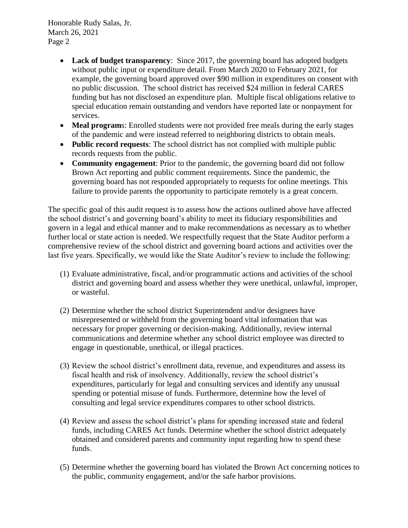Honorable Rudy Salas, Jr. March 26, 2021 Page 2

- **Lack of budget transparency**: Since 2017, the governing board has adopted budgets without public input or expenditure detail. From March 2020 to February 2021, for example, the governing board approved over \$90 million in expenditures on consent with no public discussion. The school district has received \$24 million in federal CARES funding but has not disclosed an expenditure plan. Multiple fiscal obligations relative to special education remain outstanding and vendors have reported late or nonpayment for services.
- Meal programs: Enrolled students were not provided free meals during the early stages of the pandemic and were instead referred to neighboring districts to obtain meals.
- **Public record requests**: The school district has not complied with multiple public records requests from the public.
- **Community engagement**: Prior to the pandemic, the governing board did not follow Brown Act reporting and public comment requirements. Since the pandemic, the governing board has not responded appropriately to requests for online meetings. This failure to provide parents the opportunity to participate remotely is a great concern.

The specific goal of this audit request is to assess how the actions outlined above have affected the school district's and governing board's ability to meet its fiduciary responsibilities and govern in a legal and ethical manner and to make recommendations as necessary as to whether further local or state action is needed. We respectfully request that the State Auditor perform a comprehensive review of the school district and governing board actions and activities over the last five years. Specifically, we would like the State Auditor's review to include the following:

- (1) Evaluate administrative, fiscal, and/or programmatic actions and activities of the school district and governing board and assess whether they were unethical, unlawful, improper, or wasteful.
- (2) Determine whether the school district Superintendent and/or designees have misrepresented or withheld from the governing board vital information that was necessary for proper governing or decision-making. Additionally, review internal communications and determine whether any school district employee was directed to engage in questionable, unethical, or illegal practices.
- (3) Review the school district's enrollment data, revenue, and expenditures and assess its fiscal health and risk of insolvency. Additionally, review the school district's expenditures, particularly for legal and consulting services and identify any unusual spending or potential misuse of funds. Furthermore, determine how the level of consulting and legal service expenditures compares to other school districts.
- (4) Review and assess the school district's plans for spending increased state and federal funds, including CARES Act funds. Determine whether the school district adequately obtained and considered parents and community input regarding how to spend these funds.
- (5) Determine whether the governing board has violated the Brown Act concerning notices to the public, community engagement, and/or the safe harbor provisions.